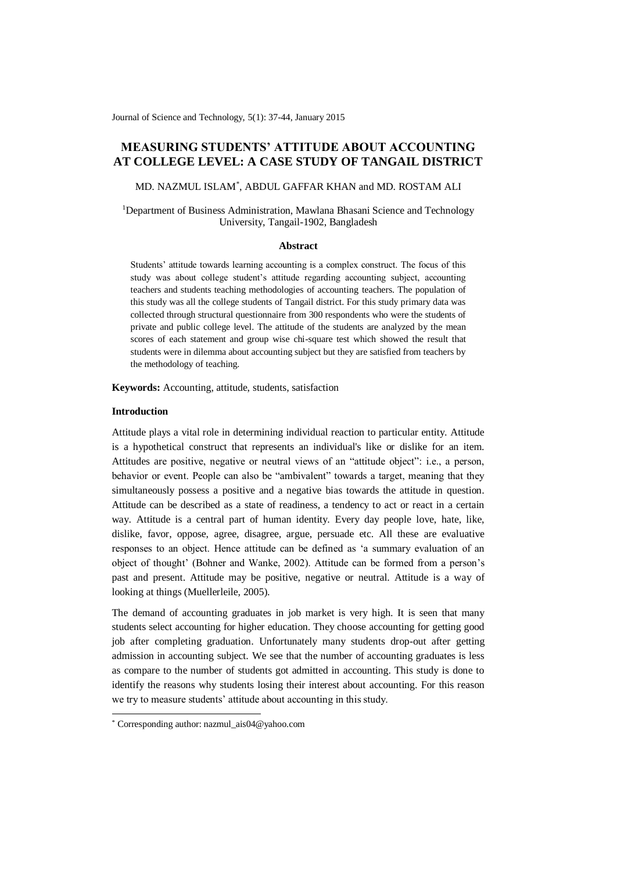Journal of Science and Technology, 5(1): 37-44, January 2015

# **MEASURING STUDENTS' ATTITUDE ABOUT ACCOUNTING AT COLLEGE LEVEL: A CASE STUDY OF TANGAIL DISTRICT**

MD. NAZMUL ISLAM\* , ABDUL GAFFAR KHAN and MD. ROSTAM ALI

<sup>1</sup>Department of Business Administration, Mawlana Bhasani Science and Technology University, Tangail-1902, Bangladesh

#### **Abstract**

Students' attitude towards learning accounting is a complex construct. The focus of this study was about college student's attitude regarding accounting subject, accounting teachers and students teaching methodologies of accounting teachers. The population of this study was all the college students of Tangail district. For this study primary data was collected through structural questionnaire from 300 respondents who were the students of private and public college level. The attitude of the students are analyzed by the mean scores of each statement and group wise chi-square test which showed the result that students were in dilemma about accounting subject but they are satisfied from teachers by the methodology of teaching.

**Keywords:** Accounting, attitude, students, satisfaction

#### **Introduction**

-

Attitude plays a vital role in determining individual reaction to particular entity. Attitude is a hypothetical construct that represents an individual's like or dislike for an item. Attitudes are positive, negative or neutral views of an "attitude object": i.e., a person, behavior or event. People can also be "ambivalent" towards a target, meaning that they simultaneously possess a positive and a negative bias towards the attitude in question. Attitude can be described as a state of readiness, a tendency to act or react in a certain way. Attitude is a central part of human identity. Every day people love, hate, like, dislike, favor, oppose, agree, disagree, argue, persuade etc. All these are evaluative responses to an object. Hence attitude can be defined as 'a summary evaluation of an object of thought' (Bohner and Wanke, 2002). Attitude can be formed from a person's past and present. Attitude may be positive, negative or neutral. Attitude is a way of looking at things (Muellerleile, 2005).

The demand of accounting graduates in job market is very high. It is seen that many students select accounting for higher education. They choose accounting for getting good job after completing graduation. Unfortunately many students drop-out after getting admission in accounting subject. We see that the number of accounting graduates is less as compare to the number of students got admitted in accounting. This study is done to identify the reasons why students losing their interest about accounting. For this reason we try to measure students' attitude about accounting in this study.

<sup>\*</sup> Corresponding author: nazmul\_ais04@yahoo.com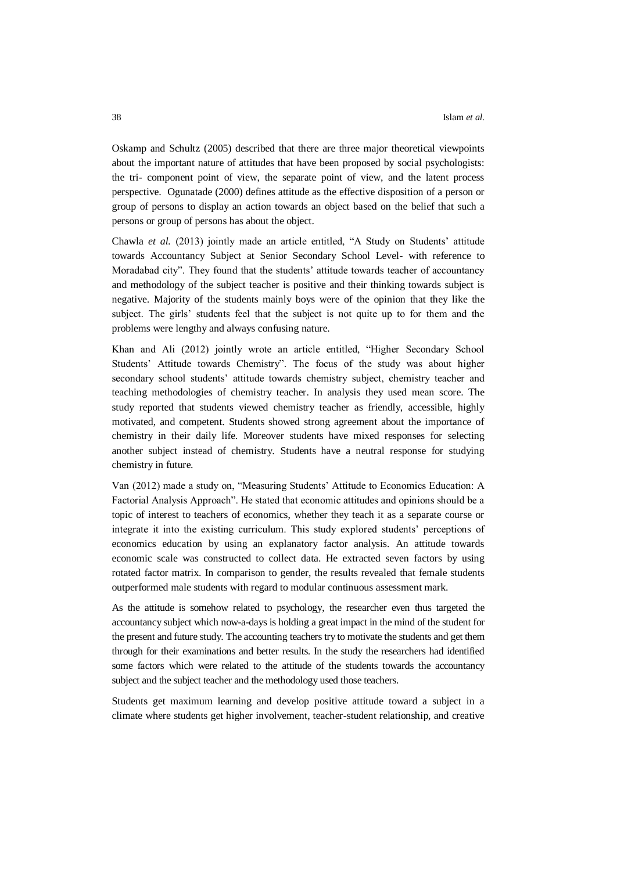Oskamp and Schultz (2005) described that there are three major theoretical viewpoints about the important nature of attitudes that have been proposed by social psychologists: the tri- component point of view, the separate point of view, and the latent process perspective. Ogunatade (2000) defines attitude as the effective disposition of a person or group of persons to display an action towards an object based on the belief that such a persons or group of persons has about the object.

Chawla *et al.* (2013) jointly made an article entitled, "A Study on Students' attitude towards Accountancy Subject at Senior Secondary School Level- with reference to Moradabad city". They found that the students' attitude towards teacher of accountancy and methodology of the subject teacher is positive and their thinking towards subject is negative. Majority of the students mainly boys were of the opinion that they like the subject. The girls' students feel that the subject is not quite up to for them and the problems were lengthy and always confusing nature.

Khan and Ali (2012) jointly wrote an article entitled, "Higher Secondary School Students' Attitude towards Chemistry". The focus of the study was about higher secondary school students' attitude towards chemistry subject, chemistry teacher and teaching methodologies of chemistry teacher. In analysis they used mean score. The study reported that students viewed chemistry teacher as friendly, accessible, highly motivated, and competent. Students showed strong agreement about the importance of chemistry in their daily life. Moreover students have mixed responses for selecting another subject instead of chemistry. Students have a neutral response for studying chemistry in future.

Van (2012) made a study on, "Measuring Students' Attitude to Economics Education: A Factorial Analysis Approach". He stated that economic attitudes and opinions should be a topic of interest to teachers of economics, whether they teach it as a separate course or integrate it into the existing curriculum. This study explored students' perceptions of economics education by using an explanatory factor analysis. An attitude towards economic scale was constructed to collect data. He extracted seven factors by using rotated factor matrix. In comparison to gender, the results revealed that female students outperformed male students with regard to modular continuous assessment mark.

As the attitude is somehow related to psychology, the researcher even thus targeted the accountancy subject which now-a-days is holding a great impact in the mind of the student for the present and future study. The accounting teachers try to motivate the students and get them through for their examinations and better results. In the study the researchers had identified some factors which were related to the attitude of the students towards the accountancy subject and the subject teacher and the methodology used those teachers.

Students get maximum learning and develop positive attitude toward a subject in a climate where students get higher involvement, teacher-student relationship, and creative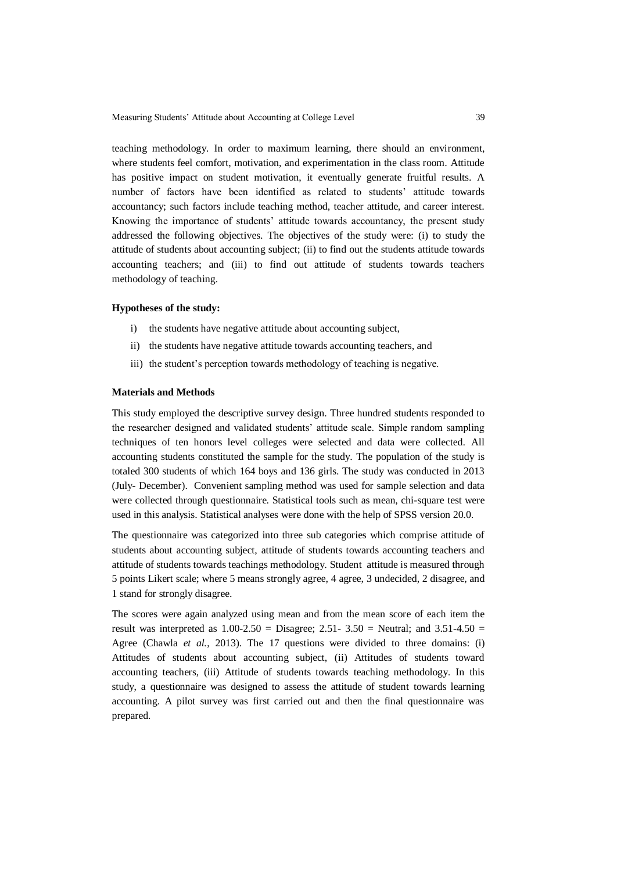teaching methodology. In order to maximum learning, there should an environment, where students feel comfort, motivation, and experimentation in the class room. Attitude has positive impact on student motivation, it eventually generate fruitful results. A number of factors have been identified as related to students' attitude towards accountancy; such factors include teaching method, teacher attitude, and career interest. Knowing the importance of students' attitude towards accountancy, the present study addressed the following objectives. The objectives of the study were: (i) to study the attitude of students about accounting subject; (ii) to find out the students attitude towards accounting teachers; and (iii) to find out attitude of students towards teachers methodology of teaching.

# **Hypotheses of the study:**

- i) the students have negative attitude about accounting subject,
- ii) the students have negative attitude towards accounting teachers, and
- iii) the student's perception towards methodology of teaching is negative.

#### **Materials and Methods**

This study employed the descriptive survey design. Three hundred students responded to the researcher designed and validated students' attitude scale. Simple random sampling techniques of ten honors level colleges were selected and data were collected. All accounting students constituted the sample for the study. The population of the study is totaled 300 students of which 164 boys and 136 girls. The study was conducted in 2013 (July- December). Convenient sampling method was used for sample selection and data were collected through questionnaire. Statistical tools such as mean, chi-square test were used in this analysis. Statistical analyses were done with the help of SPSS version 20.0.

The questionnaire was categorized into three sub categories which comprise attitude of students about accounting subject, attitude of students towards accounting teachers and attitude of students towards teachings methodology. Student attitude is measured through 5 points Likert scale; where 5 means strongly agree, 4 agree, 3 undecided, 2 disagree, and 1 stand for strongly disagree.

The scores were again analyzed using mean and from the mean score of each item the result was interpreted as  $1.00 - 2.50 =$  Disagree;  $2.51 - 3.50 =$  Neutral; and  $3.51 - 4.50 =$ Agree (Chawla *et al.*, 2013). The 17 questions were divided to three domains: (i) Attitudes of students about accounting subject, (ii) Attitudes of students toward accounting teachers, (iii) Attitude of students towards teaching methodology. In this study, a questionnaire was designed to assess the attitude of student towards learning accounting. A pilot survey was first carried out and then the final questionnaire was prepared.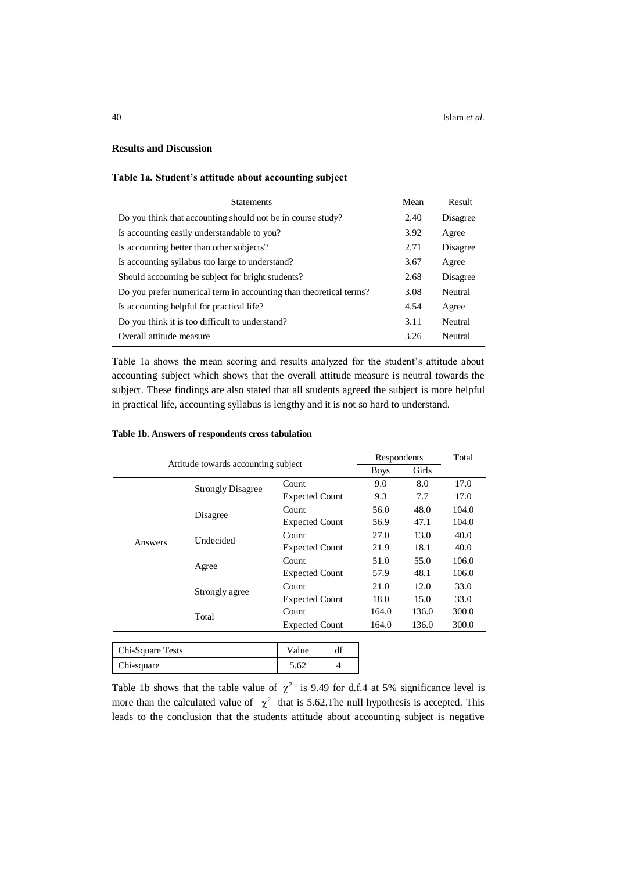# **Results and Discussion**

# **Table 1a. Student's attitude about accounting subject**

| <b>Statements</b>                                                  | Mean | Result   |
|--------------------------------------------------------------------|------|----------|
| Do you think that accounting should not be in course study?        | 2.40 | Disagree |
| Is accounting easily understandable to you?                        | 3.92 | Agree    |
| Is accounting better than other subjects?                          | 2.71 | Disagree |
| Is accounting syllabus too large to understand?                    | 3.67 | Agree    |
| Should accounting be subject for bright students?                  | 2.68 | Disagree |
| Do you prefer numerical term in accounting than theoretical terms? | 3.08 | Neutral  |
| Is accounting helpful for practical life?                          | 4.54 | Agree    |
| Do you think it is too difficult to understand?                    | 3.11 | Neutral  |
| Overall attitude measure                                           | 3.26 | Neutral  |

Table 1a shows the mean scoring and results analyzed for the student's attitude about accounting subject which shows that the overall attitude measure is neutral towards the subject. These findings are also stated that all students agreed the subject is more helpful in practical life, accounting syllabus is lengthy and it is not so hard to understand.

|                  |                                     | Respondents           |                       | Total |       |       |
|------------------|-------------------------------------|-----------------------|-----------------------|-------|-------|-------|
|                  | Attitude towards accounting subject |                       | <b>Boys</b>           | Girls |       |       |
|                  | <b>Strongly Disagree</b>            | Count                 |                       | 9.0   | 8.0   | 17.0  |
|                  |                                     | <b>Expected Count</b> |                       | 9.3   | 7.7   | 17.0  |
|                  | Disagree                            | Count                 |                       | 56.0  | 48.0  | 104.0 |
|                  |                                     | <b>Expected Count</b> |                       | 56.9  | 47.1  | 104.0 |
|                  | Undecided                           | Count                 |                       | 27.0  | 13.0  | 40.0  |
| Answers          |                                     | <b>Expected Count</b> |                       | 21.9  | 18.1  | 40.0  |
|                  | Agree                               | Count                 |                       | 51.0  | 55.0  | 106.0 |
|                  |                                     | <b>Expected Count</b> |                       | 57.9  | 48.1  | 106.0 |
|                  | Strongly agree                      | Count                 |                       | 21.0  | 12.0  | 33.0  |
|                  |                                     | <b>Expected Count</b> |                       | 18.0  | 15.0  | 33.0  |
|                  | Total                               | Count                 |                       | 164.0 | 136.0 | 300.0 |
|                  |                                     |                       | <b>Expected Count</b> |       | 136.0 | 300.0 |
|                  |                                     |                       |                       |       |       |       |
| Chi-Square Tests |                                     | Value                 | df                    |       |       |       |

## **Table 1b. Answers of respondents cross tabulation**

Chi-square 5.62 4

Table 1b shows that the table value of  $\chi^2$  is 9.49 for d.f.4 at 5% significance level is more than the calculated value of  $\chi^2$  that is 5.62. The null hypothesis is accepted. This leads to the conclusion that the students attitude about accounting subject is negative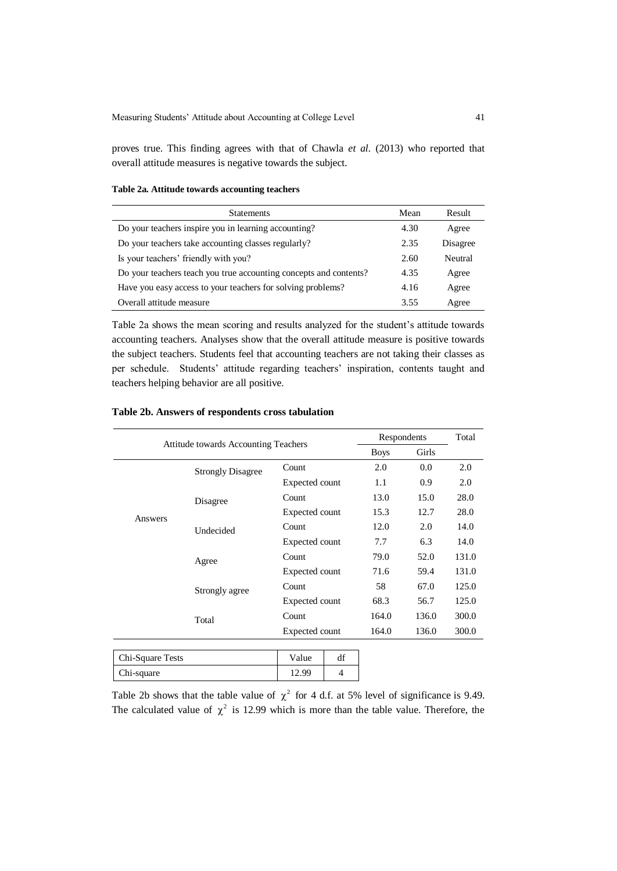proves true. This finding agrees with that of Chawla *et al.* (2013) who reported that overall attitude measures is negative towards the subject.

# **Table 2a. Attitude towards accounting teachers**

| <b>Statements</b>                                                 | Mean | Result   |
|-------------------------------------------------------------------|------|----------|
| Do your teachers inspire you in learning accounting?              | 4.30 | Agree    |
| Do your teachers take accounting classes regularly?               | 2.35 | Disagree |
| Is your teachers' friendly with you?                              | 2.60 | Neutral  |
| Do your teachers teach you true accounting concepts and contents? | 4.35 | Agree    |
| Have you easy access to your teachers for solving problems?       | 4.16 | Agree    |
| Overall attitude measure                                          | 3.55 | Agree    |

Table 2a shows the mean scoring and results analyzed for the student's attitude towards accounting teachers. Analyses show that the overall attitude measure is positive towards the subject teachers. Students feel that accounting teachers are not taking their classes as per schedule. Students' attitude regarding teachers' inspiration, contents taught and teachers helping behavior are all positive.

| <b>Attitude towards Accounting Teachers</b> |                          | Respondents           |                | Total |       |       |
|---------------------------------------------|--------------------------|-----------------------|----------------|-------|-------|-------|
|                                             |                          | <b>Boys</b>           | Girls          |       |       |       |
|                                             | <b>Strongly Disagree</b> | Count                 |                | 2.0   | 0.0   | 2.0   |
|                                             |                          | Expected count        |                | 1.1   | 0.9   | 2.0   |
|                                             | Disagree                 | Count                 |                | 13.0  | 15.0  | 28.0  |
| Answers                                     |                          | <b>Expected count</b> |                | 15.3  | 12.7  | 28.0  |
|                                             | Undecided                | Count                 |                | 12.0  | 2.0   | 14.0  |
|                                             |                          | Expected count        |                | 7.7   | 6.3   | 14.0  |
|                                             | Agree                    | Count                 |                | 79.0  | 52.0  | 131.0 |
|                                             |                          | Expected count        |                | 71.6  | 59.4  | 131.0 |
|                                             | Strongly agree           | Count                 |                | 58    | 67.0  | 125.0 |
|                                             |                          | Expected count        |                | 68.3  | 56.7  | 125.0 |
|                                             | Total                    | Count                 |                | 164.0 | 136.0 | 300.0 |
|                                             |                          | <b>Expected count</b> |                | 164.0 | 136.0 | 300.0 |
|                                             |                          |                       |                |       |       |       |
| Chi-Square Tests                            |                          | Value                 | df             |       |       |       |
| Chi-square                                  |                          | 12.99                 | $\overline{4}$ |       |       |       |

# **Table 2b. Answers of respondents cross tabulation**

Table 2b shows that the table value of  $\chi^2$  for 4 d.f. at 5% level of significance is 9.49. The calculated value of  $\chi^2$  is 12.99 which is more than the table value. Therefore, the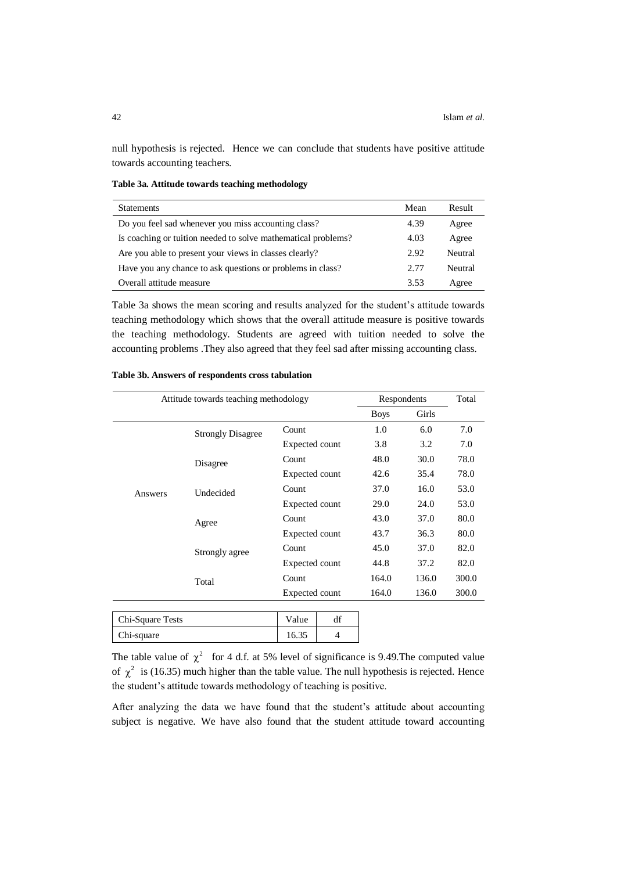null hypothesis is rejected. Hence we can conclude that students have positive attitude towards accounting teachers.

**Table 3a. Attitude towards teaching methodology**

| <b>Statements</b>                                             | Mean | Result  |
|---------------------------------------------------------------|------|---------|
| Do you feel sad whenever you miss accounting class?           | 4.39 | Agree   |
| Is coaching or tuition needed to solve mathematical problems? | 4.03 | Agree   |
| Are you able to present your views in classes clearly?        | 2.92 | Neutral |
| Have you any chance to ask questions or problems in class?    | 2.77 | Neutral |
| Overall attitude measure                                      | 3.53 | Agree   |

Table 3a shows the mean scoring and results analyzed for the student's attitude towards teaching methodology which shows that the overall attitude measure is positive towards the teaching methodology. Students are agreed with tuition needed to solve the accounting problems .They also agreed that they feel sad after missing accounting class.

| Attitude towards teaching methodology |                          |                       | Respondents    |             | Total |       |
|---------------------------------------|--------------------------|-----------------------|----------------|-------------|-------|-------|
|                                       |                          |                       |                | <b>Boys</b> | Girls |       |
|                                       | <b>Strongly Disagree</b> | Count                 |                | 1.0         | 6.0   | 7.0   |
|                                       |                          | <b>Expected count</b> |                | 3.8         | 3.2   | 7.0   |
|                                       | Disagree                 | Count                 |                | 48.0        | 30.0  | 78.0  |
|                                       |                          | <b>Expected count</b> |                | 42.6        | 35.4  | 78.0  |
| Answers                               | Undecided                | Count                 |                | 37.0        | 16.0  | 53.0  |
|                                       |                          | <b>Expected count</b> |                | 29.0        | 24.0  | 53.0  |
|                                       | Agree                    | Count                 |                | 43.0        | 37.0  | 80.0  |
|                                       |                          | Expected count        |                | 43.7        | 36.3  | 80.0  |
|                                       | Strongly agree           | Count                 |                | 45.0        | 37.0  | 82.0  |
|                                       |                          | <b>Expected count</b> |                | 44.8        | 37.2  | 82.0  |
|                                       | Total                    | Count                 |                | 164.0       | 136.0 | 300.0 |
|                                       |                          |                       | Expected count |             | 136.0 | 300.0 |
|                                       |                          |                       |                |             |       |       |
| Chi-Square Tests                      |                          | Value                 | df             |             |       |       |

## **Table 3b. Answers of respondents cross tabulation**

Chi-square 16.35 4

The table value of  $\chi^2$  for 4 d.f. at 5% level of significance is 9.49. The computed value of  $\chi^2$  is (16.35) much higher than the table value. The null hypothesis is rejected. Hence the student's attitude towards methodology of teaching is positive.

After analyzing the data we have found that the student's attitude about accounting subject is negative. We have also found that the student attitude toward accounting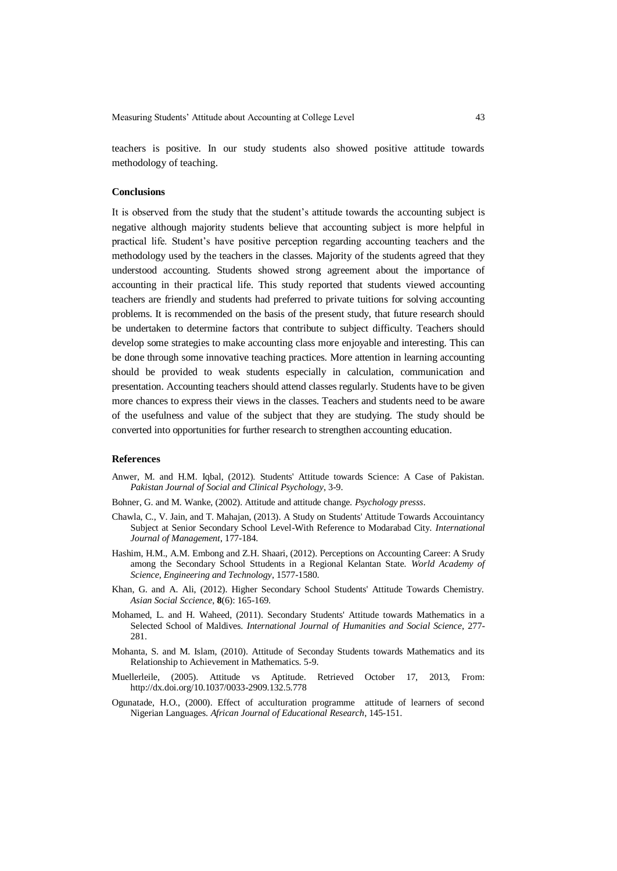Measuring Students' Attitude about Accounting at College Level 43

teachers is positive. In our study students also showed positive attitude towards methodology of teaching.

# **Conclusions**

It is observed from the study that the student's attitude towards the accounting subject is negative although majority students believe that accounting subject is more helpful in practical life. Student's have positive perception regarding accounting teachers and the methodology used by the teachers in the classes. Majority of the students agreed that they understood accounting. Students showed strong agreement about the importance of accounting in their practical life. This study reported that students viewed accounting teachers are friendly and students had preferred to private tuitions for solving accounting problems. It is recommended on the basis of the present study, that future research should be undertaken to determine factors that contribute to subject difficulty. Teachers should develop some strategies to make accounting class more enjoyable and interesting. This can be done through some innovative teaching practices. More attention in learning accounting should be provided to weak students especially in calculation, communication and presentation. Accounting teachers should attend classes regularly. Students have to be given more chances to express their views in the classes. Teachers and students need to be aware of the usefulness and value of the subject that they are studying. The study should be converted into opportunities for further research to strengthen accounting education.

#### **References**

- Anwer, M. and H.M. Iqbal, (2012). Students' Attitude towards Science: A Case of Pakistan. *Pakistan Journal of Social and Clinical Psychology*, 3-9.
- Bohner, G. and M. Wanke, (2002). Attitude and attitude change. *Psychology presss*.
- Chawla, C., V. Jain, and T. Mahajan, (2013). A Study on Students' Attitude Towards Accouintancy Subject at Senior Secondary School Level-With Reference to Modarabad City. *International Journal of Management*, 177-184.
- Hashim, H.M., A.M. Embong and Z.H. Shaari, (2012). Perceptions on Accounting Career: A Srudy among the Secondary School Sttudents in a Regional Kelantan State. *World Academy of Science, Engineering and Technology*, 1577-1580.
- Khan, G. and A. Ali, (2012). Higher Secondary School Students' Attitude Towards Chemistry. *Asian Social Sccience*, **8**(6): 165-169.
- Mohamed, L. and H. Waheed, (2011). Secondary Students' Attitude towards Mathematics in a Selected School of Maldives. *International Journal of Humanities and Social Science*, 277- 281.
- Mohanta, S. and M. Islam, (2010). Attitude of Seconday Students towards Mathematics and its Relationship to Achievement in Mathematics. 5-9.
- Muellerleile, (2005). Attitude vs Aptitude. Retrieved October 17, 2013, From: http://dx.doi.org/10.1037/0033-2909.132.5.778
- Ogunatade, H.O., (2000). Effect of acculturation programme attitude of learners of second Nigerian Languages. *African Journal of Educational Research*, 145-151.